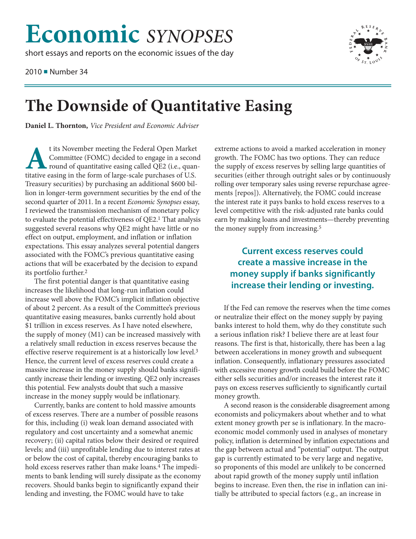## **Economic** *SYNOPSES*

short essays and reports on the economic issues of the day

2010 ■ Number 34



## **The Downside of Quantitative Easing**

**Daniel L. Thornton,** *Vice President and Economic Adviser*

t its November meeting the Federal Open Market<br>Committee (FOMC) decided to engage in a secon<br>round of quantitative easing called QE2 (i.e., quantitative easing in the form of large-scale purchases of US Committee (FOMC) decided to engage in a second round of quantitative easing called QE2 (i.e., quantitative easing in the form of large-scale purchases of U.S. Treasury securities) by purchasing an additional \$600 billion in longer-term government securities by the end of the second quarter of 2011. In a recent *Economic Synopses* essay, I reviewed the transmission mechanism of monetary policy to evaluate the potential effectiveness of QE2.1 That analysis suggested several reasons why QE2 might have little or no effect on output, employment, and inflation or inflation expectations. This essay analyzes several potential dangers associated with the FOMC's previous quantitative easing actions that will be exacerbated by the decision to expand its portfolio further.2

The first potential danger is that quantitative easing increases the likelihood that long-run inflation could increase well above the FOMC's implicit inflation objective of about 2 percent. As a result of the Committee's previous quantitative easing measures, banks currently hold about \$1 trillion in excess reserves. As I have noted elsewhere, the supply of money (M1) can be increased massively with a relatively small reduction in excess reserves because the effective reserve requirement is at a historically low level.3 Hence, the current level of excess reserves could create a massive increase in the money supply should banks significantly increase their lending or investing. QE2 only increases this potential. Few analysts doubt that such a massive increase in the money supply would be inflationary.

Currently, banks are content to hold massive amounts of excess reserves. There are a number of possible reasons for this, including (i) weak loan demand associated with regulatory and cost uncertainty and a somewhat anemic recovery; (ii) capital ratios below their desired or required levels; and (iii) unprofitable lending due to interest rates at or below the cost of capital, thereby encouraging banks to hold excess reserves rather than make loans.<sup>4</sup> The impediments to bank lending will surely dissipate as the economy recovers. Should banks begin to significantly expand their lending and investing, the FOMC would have to take

extreme actions to avoid a marked acceleration in money growth. The FOMC has two options. They can reduce the supply of excess reserves by selling large quantities of securities (either through outright sales or by continuously rolling over temporary sales using reverse repurchase agreements [repos]). Alternatively, the FOMC could increase the interest rate it pays banks to hold excess reserves to a level competitive with the risk-adjusted rate banks could earn by making loans and investments—thereby preventing the money supply from increasing.5

## **Current excess reserves could create a massive increase in the money supply if banks significantly increase their lending or investing.**

If the Fed can remove the reserves when the time comes or neutralize their effect on the money supply by paying banks interest to hold them, why do they constitute such a serious inflation risk? I believe there are at least four reasons. The first is that, historically, there has been a lag between accelerations in money growth and subsequent inflation. Consequently, inflationary pressures associated with excessive money growth could build before the FOMC either sells securities and/or increases the interest rate it pays on excess reserves sufficiently to significantly curtail money growth.

A second reason is the considerable disagreement among economists and policymakers about whether and to what extent money growth per se is inflationary. In the macroeconomic model commonly used in analyses of monetary policy, inflation is determined by inflation expectations and the gap between actual and "potential" output. The output gap is currently estimated to be very large and negative, so proponents of this model are unlikely to be concerned about rapid growth of the money supply until inflation begins to increase. Even then, the rise in inflation can initially be attributed to special factors (e.g., an increase in